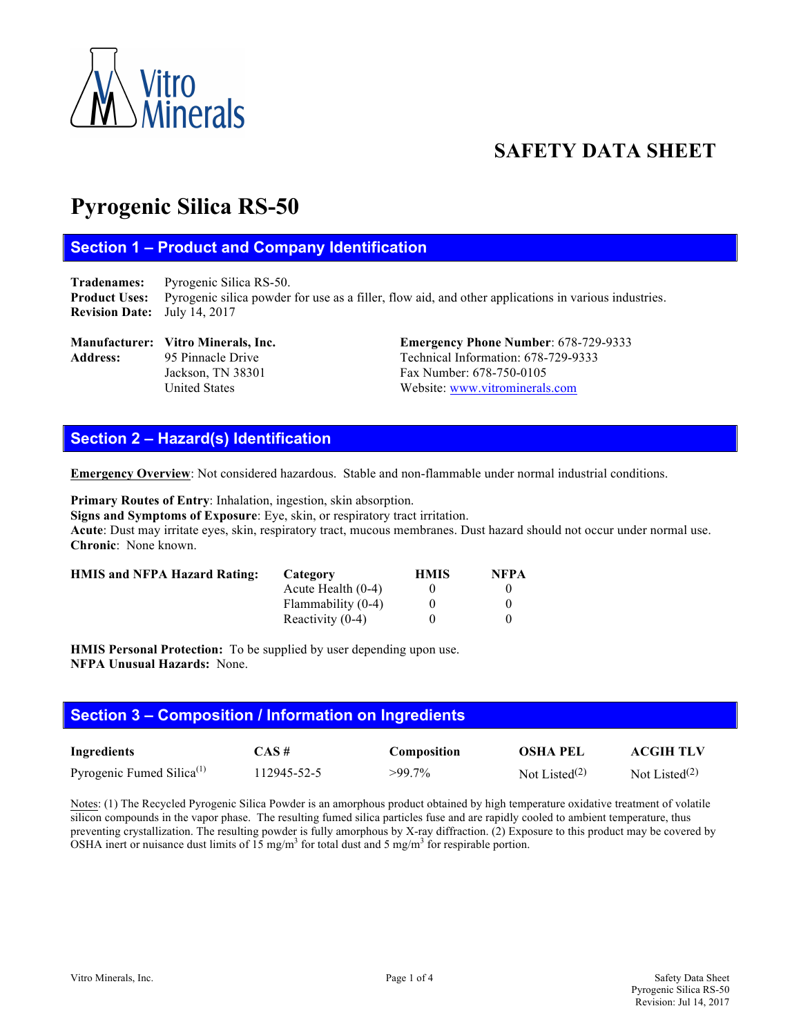

# **SAFETY DATA SHEET**

# **Pyrogenic Silica RS-50**

# **Section 1 – Product and Company Identification**

**Tradenames:** Pyrogenic Silica RS-50. **Product Uses:** Pyrogenic silica powder for use as a filler, flow aid, and other applications in various industries. **Revision Date:** July 14, 2017

# Address: 95 Pinnacle Drive Technical Information: 678-729-9333

**Manufacturer: Vitro Minerals, Inc. Emergency Phone Number**: 678-729-9333 Jackson, TN 38301 Fax Number: 678-750-0105 United States Website: www.vitrominerals.com

# **Section 2 – Hazard(s) Identification**

**Emergency Overview**: Not considered hazardous. Stable and non-flammable under normal industrial conditions.

**Primary Routes of Entry**: Inhalation, ingestion, skin absorption.

**Signs and Symptoms of Exposure**: Eye, skin, or respiratory tract irritation.

**Acute**: Dust may irritate eyes, skin, respiratory tract, mucous membranes. Dust hazard should not occur under normal use. **Chronic**: None known.

| <b>HMIS and NFPA Hazard Rating:</b> | Category             | <b>HMIS</b> | <b>NFPA</b> |
|-------------------------------------|----------------------|-------------|-------------|
|                                     | Acute Health $(0-4)$ |             |             |
|                                     | Flammability (0-4)   |             |             |
|                                     | Reactivity $(0-4)$   |             |             |

**HMIS Personal Protection:** To be supplied by user depending upon use. **NFPA Unusual Hazards:** None.

# **Section 3 – Composition / Information on Ingredients**

| Ingredients                           | $CAS \#$    | Composition | <b>OSHA PEL</b>  | <b>ACGIH TLV</b> |
|---------------------------------------|-------------|-------------|------------------|------------------|
| Pyrogenic Fumed Silica <sup>(1)</sup> | 112945-52-5 | $>99.7\%$   | Not Listed $(2)$ | Not Listed $(2)$ |

Notes: (1) The Recycled Pyrogenic Silica Powder is an amorphous product obtained by high temperature oxidative treatment of volatile silicon compounds in the vapor phase. The resulting fumed silica particles fuse and are rapidly cooled to ambient temperature, thus preventing crystallization. The resulting powder is fully amorphous by X-ray diffraction. (2) Exposure to this product may be covered by OSHA inert or nuisance dust limits of 15 mg/m<sup>3</sup> for total dust and 5 mg/m<sup>3</sup> for respirable portion.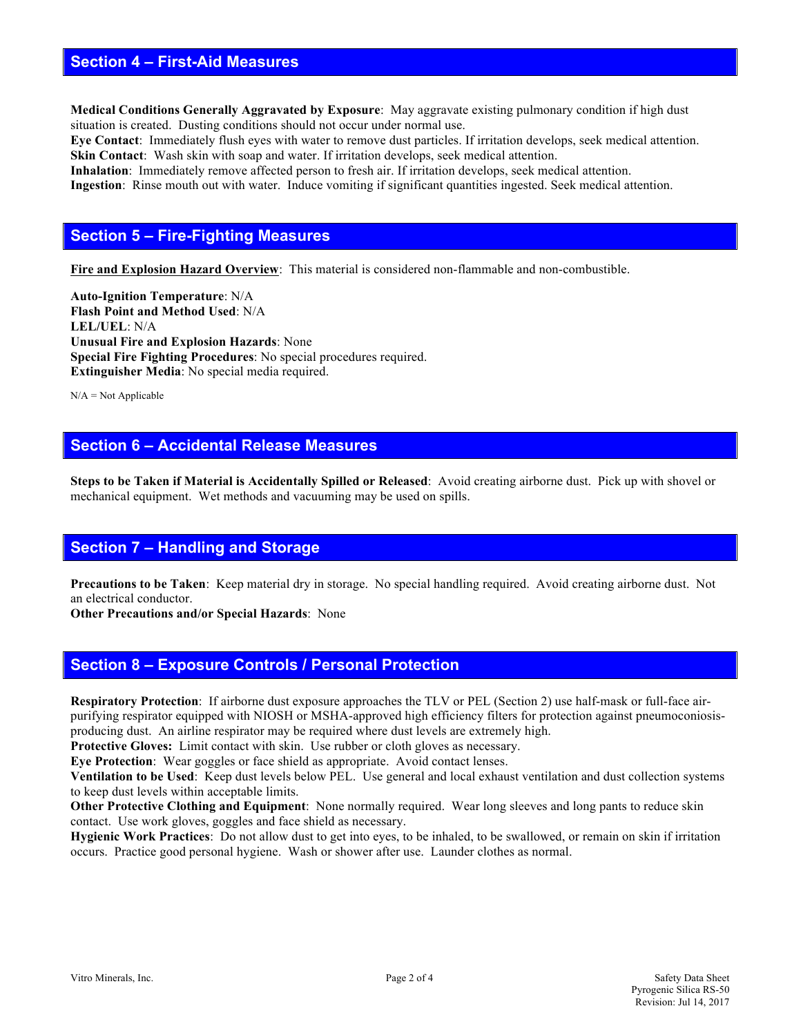#### **Section 4 – First-Aid Measures**

**Medical Conditions Generally Aggravated by Exposure**: May aggravate existing pulmonary condition if high dust situation is created. Dusting conditions should not occur under normal use.

**Eye Contact**: Immediately flush eyes with water to remove dust particles. If irritation develops, seek medical attention. **Skin Contact:** Wash skin with soap and water. If irritation develops, seek medical attention.

**Inhalation**: Immediately remove affected person to fresh air. If irritation develops, seek medical attention. **Ingestion**: Rinse mouth out with water. Induce vomiting if significant quantities ingested. Seek medical attention.

#### **Section 5 – Fire-Fighting Measures**

**Fire and Explosion Hazard Overview**: This material is considered non-flammable and non-combustible.

**Auto-Ignition Temperature**: N/A **Flash Point and Method Used**: N/A **LEL/UEL**: N/A **Unusual Fire and Explosion Hazards**: None **Special Fire Fighting Procedures**: No special procedures required. **Extinguisher Media**: No special media required.

 $N/A = Not$  Applicable

## **Section 6 – Accidental Release Measures**

**Steps to be Taken if Material is Accidentally Spilled or Released**: Avoid creating airborne dust. Pick up with shovel or mechanical equipment. Wet methods and vacuuming may be used on spills.

# **Section 7 – Handling and Storage**

**Precautions to be Taken**: Keep material dry in storage. No special handling required. Avoid creating airborne dust. Not an electrical conductor.

**Other Precautions and/or Special Hazards**: None

#### **Section 8 – Exposure Controls / Personal Protection**

**Respiratory Protection**: If airborne dust exposure approaches the TLV or PEL (Section 2) use half-mask or full-face airpurifying respirator equipped with NIOSH or MSHA-approved high efficiency filters for protection against pneumoconiosisproducing dust. An airline respirator may be required where dust levels are extremely high.

**Protective Gloves:** Limit contact with skin. Use rubber or cloth gloves as necessary.

**Eye Protection**: Wear goggles or face shield as appropriate. Avoid contact lenses.

**Ventilation to be Used**: Keep dust levels below PEL. Use general and local exhaust ventilation and dust collection systems to keep dust levels within acceptable limits.

**Other Protective Clothing and Equipment**: None normally required. Wear long sleeves and long pants to reduce skin contact. Use work gloves, goggles and face shield as necessary.

**Hygienic Work Practices**: Do not allow dust to get into eyes, to be inhaled, to be swallowed, or remain on skin if irritation occurs. Practice good personal hygiene. Wash or shower after use. Launder clothes as normal.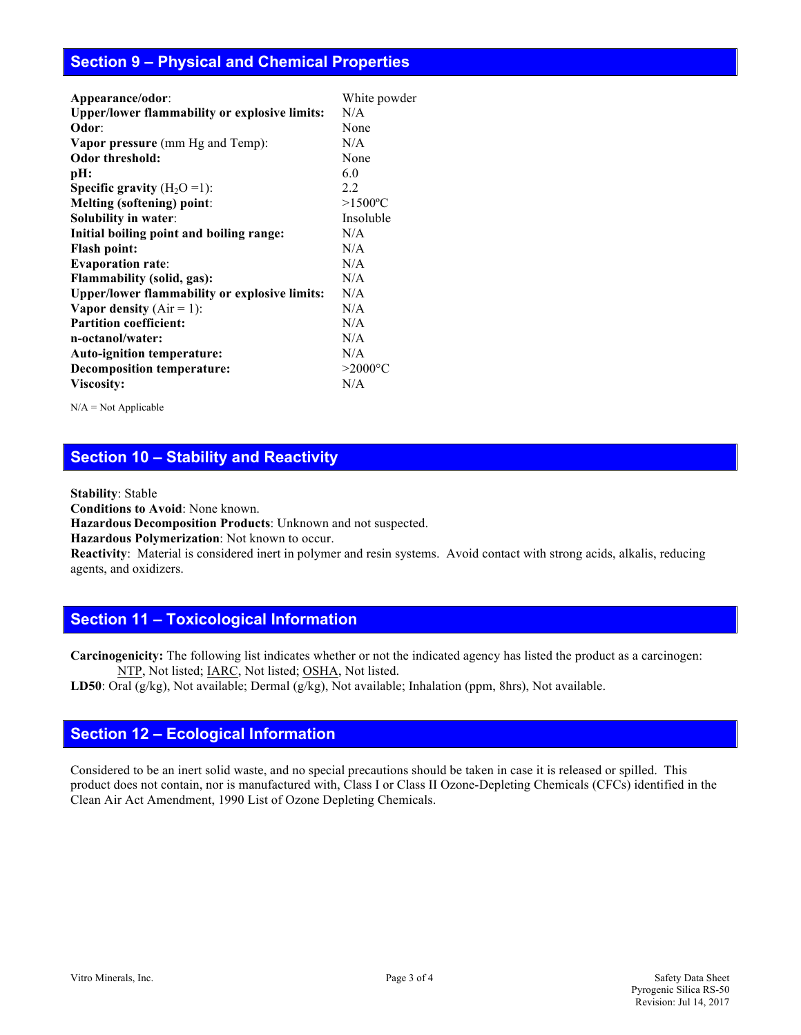# **Section 9 – Physical and Chemical Properties**

| Appearance/odor:                                     | White powder           |  |
|------------------------------------------------------|------------------------|--|
| Upper/lower flammability or explosive limits:        | N/A                    |  |
| Odor:                                                | None                   |  |
| <b>Vapor pressure</b> (mm Hg and Temp):              | N/A                    |  |
| <b>Odor threshold:</b>                               | None                   |  |
| pH:                                                  | 6.0                    |  |
| <b>Specific gravity</b> $(H_2O=1)$ :                 | 2.2                    |  |
| Melting (softening) point:                           | $>1500$ <sup>o</sup> C |  |
| <b>Solubility in water:</b>                          | Insoluble              |  |
| Initial boiling point and boiling range:             | N/A                    |  |
| <b>Flash point:</b>                                  | N/A                    |  |
| <b>Evaporation rate:</b>                             | N/A                    |  |
| <b>Flammability (solid, gas):</b>                    | N/A                    |  |
| <b>Upper/lower flammability or explosive limits:</b> | N/A                    |  |
| Vapor density $(Air = 1)$ :                          | N/A                    |  |
| <b>Partition coefficient:</b>                        | N/A                    |  |
| n-octanol/water:                                     | N/A                    |  |
| <b>Auto-ignition temperature:</b>                    | N/A                    |  |
| <b>Decomposition temperature:</b>                    | $>2000$ °C             |  |
| Viscosity:                                           | N/A                    |  |

 $N/A = Not$  Applicable

# **Section 10 – Stability and Reactivity**

**Stability**: Stable

**Conditions to Avoid**: None known.

**Hazardous Decomposition Products**: Unknown and not suspected.

**Hazardous Polymerization**: Not known to occur.

**Reactivity**:Material is considered inert in polymer and resin systems. Avoid contact with strong acids, alkalis, reducing agents, and oxidizers.

# **Section 11 – Toxicological Information**

**Carcinogenicity:** The following list indicates whether or not the indicated agency has listed the product as a carcinogen: NTP, Not listed; IARC, Not listed; OSHA, Not listed.

**LD50**: Oral (g/kg), Not available; Dermal (g/kg), Not available; Inhalation (ppm, 8hrs), Not available.

#### **Section 12 – Ecological Information**

Considered to be an inert solid waste, and no special precautions should be taken in case it is released or spilled. This product does not contain, nor is manufactured with, Class I or Class II Ozone-Depleting Chemicals (CFCs) identified in the Clean Air Act Amendment, 1990 List of Ozone Depleting Chemicals.